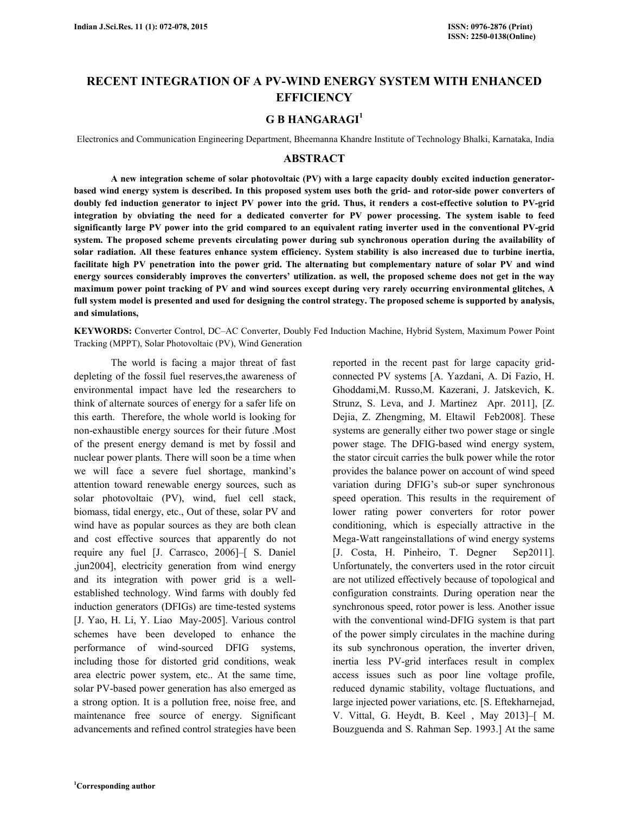# **RECENT INTEGRATION OF A PV-WIND ENERGY SYSTEM WITH ENHANCED EFFICIENCY**

# **G B HANGARAGI<sup>1</sup>**

Electronics and Communication Engineering Department, Bheemanna Khandre Institute of Technology Bhalki, Karnataka, India

### **ABSTRACT**

 **A new integration scheme of solar photovoltaic (PV) with a large capacity doubly excited induction generatorbased wind energy system is described. In this proposed system uses both the grid- and rotor-side power converters of doubly fed induction generator to inject PV power into the grid. Thus, it renders a cost-effective solution to PV-grid integration by obviating the need for a dedicated converter for PV power processing. The system isable to feed significantly large PV power into the grid compared to an equivalent rating inverter used in the conventional PV-grid system. The proposed scheme prevents circulating power during sub synchronous operation during the availability of solar radiation. All these features enhance system efficiency. System stability is also increased due to turbine inertia, facilitate high PV penetration into the power grid. The alternating but complementary nature of solar PV and wind energy sources considerably improves the converters' utilization. as well, the proposed scheme does not get in the way maximum power point tracking of PV and wind sources except during very rarely occurring environmental glitches, A full system model is presented and used for designing the control strategy. The proposed scheme is supported by analysis, and simulations,** 

**KEYWORDS:** Converter Control, DC–AC Converter, Doubly Fed Induction Machine, Hybrid System, Maximum Power Point Tracking (MPPT), Solar Photovoltaic (PV), Wind Generation

 The world is facing a major threat of fast depleting of the fossil fuel reserves,the awareness of environmental impact have led the researchers to think of alternate sources of energy for a safer life on this earth. Therefore, the whole world is looking for non-exhaustible energy sources for their future .Most of the present energy demand is met by fossil and nuclear power plants. There will soon be a time when we will face a severe fuel shortage, mankind's attention toward renewable energy sources, such as solar photovoltaic (PV), wind, fuel cell stack, biomass, tidal energy, etc., Out of these, solar PV and wind have as popular sources as they are both clean and cost effective sources that apparently do not require any fuel [J. Carrasco, 2006]–[ S. Daniel ,jun2004], electricity generation from wind energy and its integration with power grid is a wellestablished technology. Wind farms with doubly fed induction generators (DFIGs) are time-tested systems [J. Yao, H. Li, Y. Liao May-2005]. Various control schemes have been developed to enhance the performance of wind-sourced DFIG systems, including those for distorted grid conditions, weak area electric power system, etc.. At the same time, solar PV-based power generation has also emerged as a strong option. It is a pollution free, noise free, and maintenance free source of energy. Significant advancements and refined control strategies have been

reported in the recent past for large capacity gridconnected PV systems [A. Yazdani, A. Di Fazio, H. Ghoddami,M. Russo,M. Kazerani, J. Jatskevich, K. Strunz, S. Leva, and J. Martinez Apr. 2011], [Z. Dejia, Z. Zhengming, M. Eltawil Feb2008]. These systems are generally either two power stage or single power stage. The DFIG-based wind energy system, the stator circuit carries the bulk power while the rotor provides the balance power on account of wind speed variation during DFIG's sub-or super synchronous speed operation. This results in the requirement of lower rating power converters for rotor power conditioning, which is especially attractive in the Mega-Watt rangeinstallations of wind energy systems [J. Costa, H. Pinheiro, T. Degner Sep2011]. Unfortunately, the converters used in the rotor circuit are not utilized effectively because of topological and configuration constraints. During operation near the synchronous speed, rotor power is less. Another issue with the conventional wind-DFIG system is that part of the power simply circulates in the machine during its sub synchronous operation, the inverter driven, inertia less PV-grid interfaces result in complex access issues such as poor line voltage profile, reduced dynamic stability, voltage fluctuations, and large injected power variations, etc. [S. Eftekharnejad, V. Vittal, G. Heydt, B. Keel , May 2013]–[ M. Bouzguenda and S. Rahman Sep. 1993.] At the same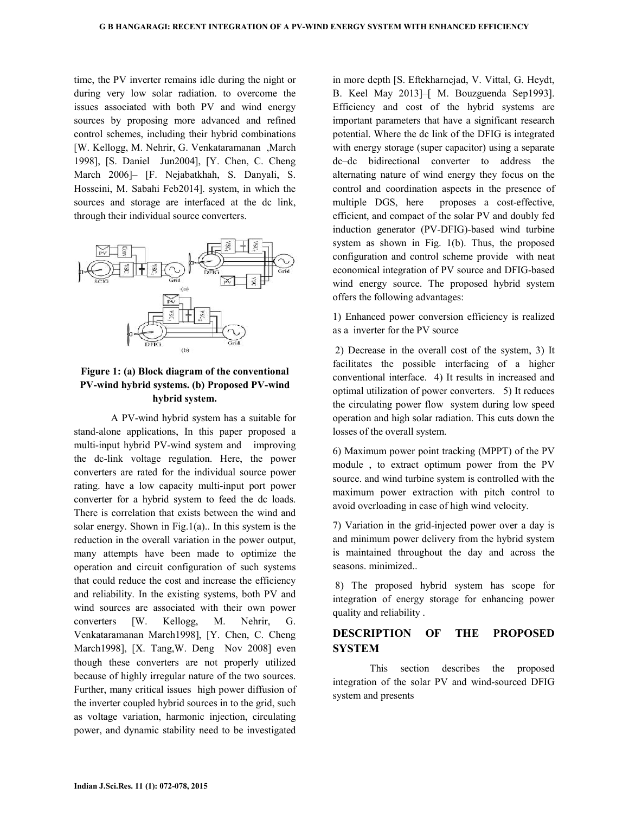time, the PV inverter remains idle during the night or during very low solar radiation. to overcome the issues associated with both PV and wind energy sources by proposing more advanced and refined control schemes, including their hybrid combinations [W. Kellogg, M. Nehrir, G. Venkataramanan ,March 1998], [S. Daniel Jun2004], [Y. Chen, C. Cheng March 2006]– [F. Nejabatkhah, S. Danyali, S. Hosseini, M. Sabahi Feb2014]. system, in which the sources and storage are interfaced at the dc link, through their individual source converters.



# **Figure 1: (a) Block diagram of the conventional PV-wind hybrid systems. (b) Proposed PV-wind hybrid system.**

 A PV-wind hybrid system has a suitable for stand-alone applications, In this paper proposed a multi-input hybrid PV-wind system and improving the dc-link voltage regulation. Here, the power converters are rated for the individual source power rating. have a low capacity multi-input port power converter for a hybrid system to feed the dc loads. There is correlation that exists between the wind and solar energy. Shown in Fig.1(a).. In this system is the reduction in the overall variation in the power output, many attempts have been made to optimize the operation and circuit configuration of such systems that could reduce the cost and increase the efficiency and reliability. In the existing systems, both PV and wind sources are associated with their own power converters [W. Kellogg, M. Nehrir, G. Venkataramanan March1998], [Y. Chen, C. Cheng March1998], [X. Tang, W. Deng Nov 2008] even though these converters are not properly utilized because of highly irregular nature of the two sources. Further, many critical issues high power diffusion of the inverter coupled hybrid sources in to the grid, such as voltage variation, harmonic injection, circulating power, and dynamic stability need to be investigated

in more depth [S. Eftekharnejad, V. Vittal, G. Heydt, B. Keel May 2013]–[ M. Bouzguenda Sep1993]. Efficiency and cost of the hybrid systems are important parameters that have a significant research potential. Where the dc link of the DFIG is integrated with energy storage (super capacitor) using a separate dc–dc bidirectional converter to address the alternating nature of wind energy they focus on the control and coordination aspects in the presence of multiple DGS, here proposes a cost-effective, efficient, and compact of the solar PV and doubly fed induction generator (PV-DFIG)-based wind turbine system as shown in Fig. 1(b). Thus, the proposed configuration and control scheme provide with neat economical integration of PV source and DFIG-based wind energy source. The proposed hybrid system offers the following advantages:

1) Enhanced power conversion efficiency is realized as a inverter for the PV source

 2) Decrease in the overall cost of the system, 3) It facilitates the possible interfacing of a higher conventional interface. 4) It results in increased and optimal utilization of power converters. 5) It reduces the circulating power flow system during low speed operation and high solar radiation. This cuts down the losses of the overall system.

6) Maximum power point tracking (MPPT) of the PV module , to extract optimum power from the PV source. and wind turbine system is controlled with the maximum power extraction with pitch control to avoid overloading in case of high wind velocity.

7) Variation in the grid-injected power over a day is and minimum power delivery from the hybrid system is maintained throughout the day and across the seasons. minimized..

 8) The proposed hybrid system has scope for integration of energy storage for enhancing power quality and reliability .

## **DESCRIPTION OF THE PROPOSED SYSTEM**

 This section describes the proposed integration of the solar PV and wind-sourced DFIG system and presents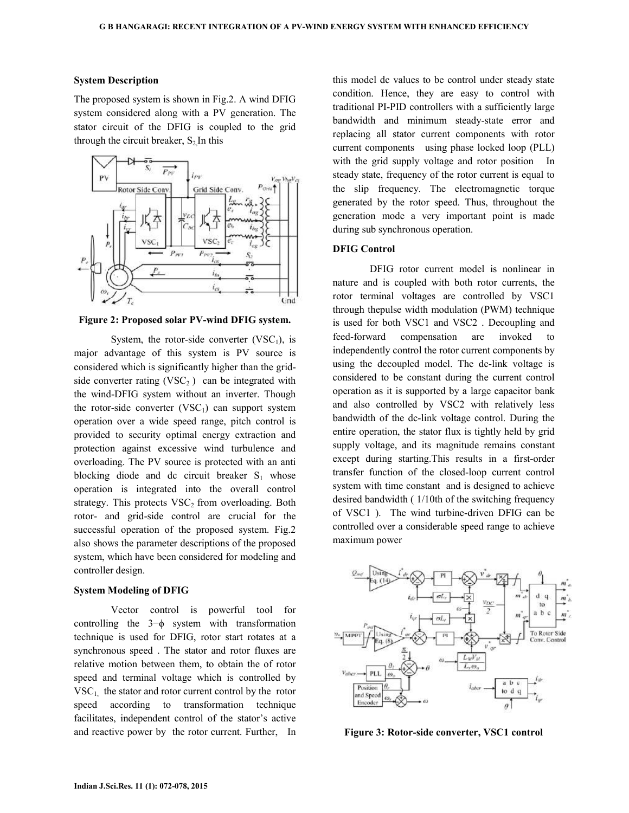#### **System Description**

The proposed system is shown in Fig.2. A wind DFIG system considered along with a PV generation. The stator circuit of the DFIG is coupled to the grid through the circuit breaker,  $S_2$  In this



**Figure 2: Proposed solar PV-wind DFIG system.** 

System, the rotor-side converter  $(VSC<sub>1</sub>)$ , is major advantage of this system is PV source is considered which is significantly higher than the gridside converter rating  $(VSC<sub>2</sub>)$  can be integrated with the wind-DFIG system without an inverter. Though the rotor-side converter  $(VSC<sub>1</sub>)$  can support system operation over a wide speed range, pitch control is provided to security optimal energy extraction and protection against excessive wind turbulence and overloading. The PV source is protected with an anti blocking diode and dc circuit breaker  $S_1$  whose operation is integrated into the overall control strategy. This protects  $VSC<sub>2</sub>$  from overloading. Both rotor- and grid-side control are crucial for the successful operation of the proposed system. Fig.2 also shows the parameter descriptions of the proposed system, which have been considered for modeling and controller design.

#### **System Modeling of DFIG**

 Vector control is powerful tool for controlling the 3−ϕ system with transformation technique is used for DFIG, rotor start rotates at a synchronous speed . The stator and rotor fluxes are relative motion between them, to obtain the of rotor speed and terminal voltage which is controlled by  $VSC<sub>1</sub>$  the stator and rotor current control by the rotor speed according to transformation technique facilitates, independent control of the stator's active and reactive power by the rotor current. Further, In this model dc values to be control under steady state condition. Hence, they are easy to control with traditional PI-PID controllers with a sufficiently large bandwidth and minimum steady-state error and replacing all stator current components with rotor current components using phase locked loop (PLL) with the grid supply voltage and rotor position In steady state, frequency of the rotor current is equal to the slip frequency. The electromagnetic torque generated by the rotor speed. Thus, throughout the generation mode a very important point is made during sub synchronous operation.

### **DFIG Control**

 DFIG rotor current model is nonlinear in nature and is coupled with both rotor currents, the rotor terminal voltages are controlled by VSC1 through thepulse width modulation (PWM) technique is used for both VSC1 and VSC2 . Decoupling and feed-forward compensation are invoked to independently control the rotor current components by using the decoupled model. The dc-link voltage is considered to be constant during the current control operation as it is supported by a large capacitor bank and also controlled by VSC2 with relatively less bandwidth of the dc-link voltage control. During the entire operation, the stator flux is tightly held by grid supply voltage, and its magnitude remains constant except during starting.This results in a first-order transfer function of the closed-loop current control system with time constant and is designed to achieve desired bandwidth ( 1/10th of the switching frequency of VSC1 ). The wind turbine-driven DFIG can be controlled over a considerable speed range to achieve maximum power



**Figure 3: Rotor-side converter, VSC1 control**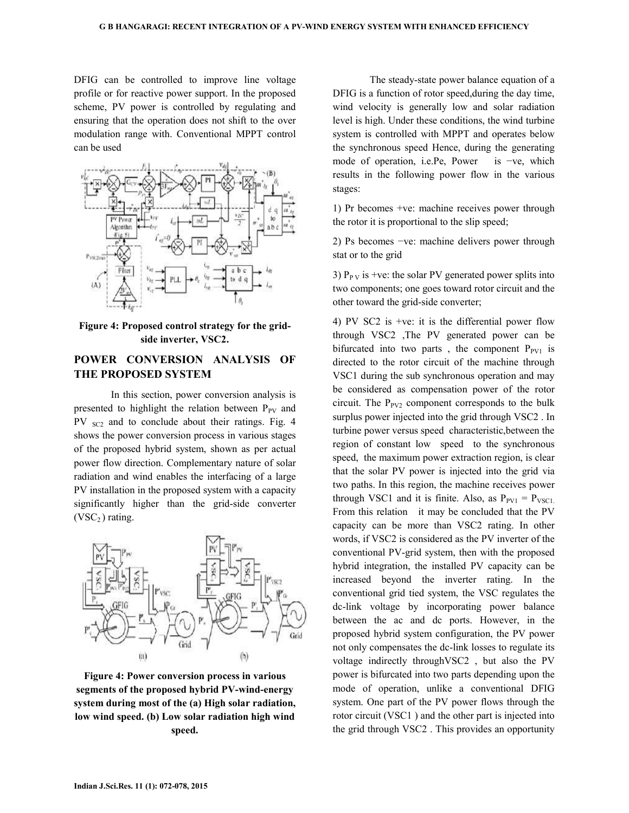DFIG can be controlled to improve line voltage profile or for reactive power support. In the proposed scheme, PV power is controlled by regulating and ensuring that the operation does not shift to the over modulation range with. Conventional MPPT control can be used



**Figure 4: Proposed control strategy for the gridside inverter, VSC2.** 

# **POWER CONVERSION ANALYSIS OF THE PROPOSED SYSTEM**

 In this section, power conversion analysis is presented to highlight the relation between  $P_{PV}$  and PV <sub>SC2</sub> and to conclude about their ratings. Fig. 4 shows the power conversion process in various stages of the proposed hybrid system, shown as per actual power flow direction. Complementary nature of solar radiation and wind enables the interfacing of a large PV installation in the proposed system with a capacity significantly higher than the grid-side converter  $(VSC<sub>2</sub>)$  rating.



**Figure 4: Power conversion process in various segments of the proposed hybrid PV-wind-energy system during most of the (a) High solar radiation, low wind speed. (b) Low solar radiation high wind speed.** 

 The steady-state power balance equation of a DFIG is a function of rotor speed,during the day time, wind velocity is generally low and solar radiation level is high. Under these conditions, the wind turbine system is controlled with MPPT and operates below the synchronous speed Hence, during the generating mode of operation, i.e.Pe, Power is −ve, which results in the following power flow in the various stages:

1) Pr becomes +ve: machine receives power through the rotor it is proportional to the slip speed;

2) Ps becomes −ve: machine delivers power through stat or to the grid

3)  $P_{PV}$  is +ve: the solar PV generated power splits into two components; one goes toward rotor circuit and the other toward the grid-side converter;

4) PV SC2 is +ve: it is the differential power flow through VSC2 ,The PV generated power can be bifurcated into two parts, the component  $P_{PV1}$  is directed to the rotor circuit of the machine through VSC1 during the sub synchronous operation and may be considered as compensation power of the rotor circuit. The  $P_{PV2}$  component corresponds to the bulk surplus power injected into the grid through VSC2 . In turbine power versus speed characteristic,between the region of constant low speed to the synchronous speed, the maximum power extraction region, is clear that the solar PV power is injected into the grid via two paths. In this region, the machine receives power through VSC1 and it is finite. Also, as  $P_{PV1} = P_{VSC1}$ . From this relation it may be concluded that the PV capacity can be more than VSC2 rating. In other words, if VSC2 is considered as the PV inverter of the conventional PV-grid system, then with the proposed hybrid integration, the installed PV capacity can be increased beyond the inverter rating. In the conventional grid tied system, the VSC regulates the dc-link voltage by incorporating power balance between the ac and dc ports. However, in the proposed hybrid system configuration, the PV power not only compensates the dc-link losses to regulate its voltage indirectly throughVSC2 , but also the PV power is bifurcated into two parts depending upon the mode of operation, unlike a conventional DFIG system. One part of the PV power flows through the rotor circuit (VSC1 ) and the other part is injected into the grid through VSC2 . This provides an opportunity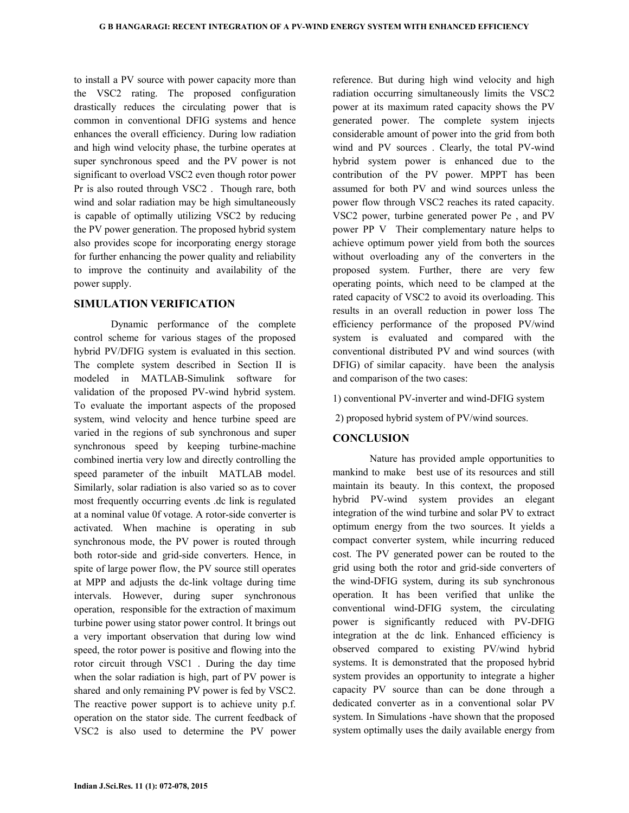to install a PV source with power capacity more than the VSC2 rating. The proposed configuration drastically reduces the circulating power that is common in conventional DFIG systems and hence enhances the overall efficiency. During low radiation and high wind velocity phase, the turbine operates at super synchronous speed and the PV power is not significant to overload VSC2 even though rotor power Pr is also routed through VSC2 . Though rare, both wind and solar radiation may be high simultaneously is capable of optimally utilizing VSC2 by reducing the PV power generation. The proposed hybrid system also provides scope for incorporating energy storage for further enhancing the power quality and reliability to improve the continuity and availability of the power supply.

### **SIMULATION VERIFICATION**

 Dynamic performance of the complete control scheme for various stages of the proposed hybrid PV/DFIG system is evaluated in this section. The complete system described in Section II is modeled in MATLAB-Simulink software for validation of the proposed PV-wind hybrid system. To evaluate the important aspects of the proposed system, wind velocity and hence turbine speed are varied in the regions of sub synchronous and super synchronous speed by keeping turbine-machine combined inertia very low and directly controlling the speed parameter of the inbuilt MATLAB model. Similarly, solar radiation is also varied so as to cover most frequently occurring events .dc link is regulated at a nominal value 0f votage. A rotor-side converter is activated. When machine is operating in sub synchronous mode, the PV power is routed through both rotor-side and grid-side converters. Hence, in spite of large power flow, the PV source still operates at MPP and adjusts the dc-link voltage during time intervals. However, during super synchronous operation, responsible for the extraction of maximum turbine power using stator power control. It brings out a very important observation that during low wind speed, the rotor power is positive and flowing into the rotor circuit through VSC1 . During the day time when the solar radiation is high, part of PV power is shared and only remaining PV power is fed by VSC2. The reactive power support is to achieve unity p.f. operation on the stator side. The current feedback of VSC2 is also used to determine the PV power reference. But during high wind velocity and high radiation occurring simultaneously limits the VSC2 power at its maximum rated capacity shows the PV generated power. The complete system injects considerable amount of power into the grid from both wind and PV sources . Clearly, the total PV-wind hybrid system power is enhanced due to the contribution of the PV power. MPPT has been assumed for both PV and wind sources unless the power flow through VSC2 reaches its rated capacity. VSC2 power, turbine generated power Pe , and PV power PP V Their complementary nature helps to achieve optimum power yield from both the sources without overloading any of the converters in the proposed system. Further, there are very few operating points, which need to be clamped at the rated capacity of VSC2 to avoid its overloading. This results in an overall reduction in power loss The efficiency performance of the proposed PV/wind system is evaluated and compared with the conventional distributed PV and wind sources (with DFIG) of similar capacity. have been the analysis and comparison of the two cases:

1) conventional PV-inverter and wind-DFIG system

2) proposed hybrid system of PV/wind sources.

## **CONCLUSION**

 Nature has provided ample opportunities to mankind to make best use of its resources and still maintain its beauty. In this context, the proposed hybrid PV-wind system provides an elegant integration of the wind turbine and solar PV to extract optimum energy from the two sources. It yields a compact converter system, while incurring reduced cost. The PV generated power can be routed to the grid using both the rotor and grid-side converters of the wind-DFIG system, during its sub synchronous operation. It has been verified that unlike the conventional wind-DFIG system, the circulating power is significantly reduced with PV-DFIG integration at the dc link. Enhanced efficiency is observed compared to existing PV/wind hybrid systems. It is demonstrated that the proposed hybrid system provides an opportunity to integrate a higher capacity PV source than can be done through a dedicated converter as in a conventional solar PV system. In Simulations -have shown that the proposed system optimally uses the daily available energy from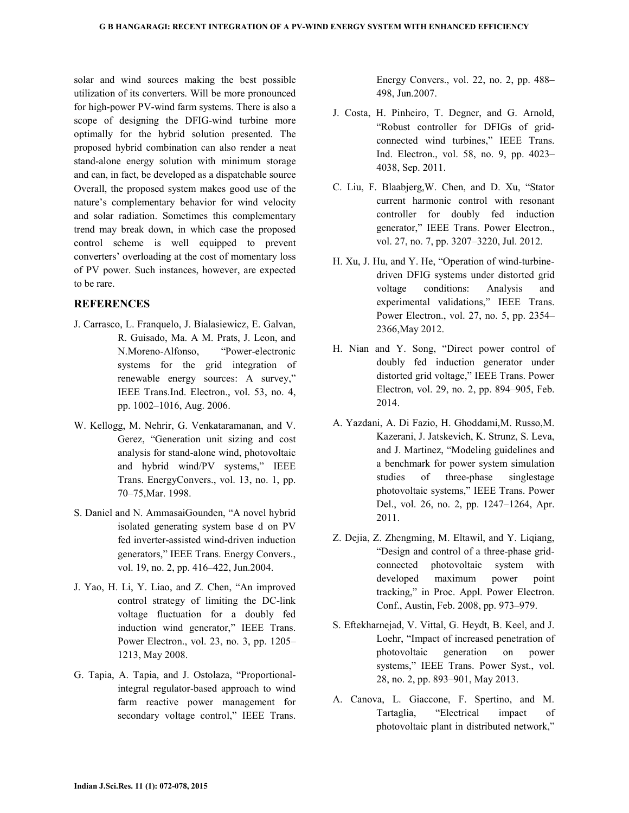solar and wind sources making the best possible utilization of its converters. Will be more pronounced for high-power PV-wind farm systems. There is also a scope of designing the DFIG-wind turbine more optimally for the hybrid solution presented. The proposed hybrid combination can also render a neat stand-alone energy solution with minimum storage and can, in fact, be developed as a dispatchable source Overall, the proposed system makes good use of the nature's complementary behavior for wind velocity and solar radiation. Sometimes this complementary trend may break down, in which case the proposed control scheme is well equipped to prevent converters' overloading at the cost of momentary loss of PV power. Such instances, however, are expected to be rare.

### **REFERENCES**

- J. Carrasco, L. Franquelo, J. Bialasiewicz, E. Galvan, R. Guisado, Ma. A M. Prats, J. Leon, and N.Moreno-Alfonso, "Power-electronic systems for the grid integration of renewable energy sources: A survey," IEEE Trans.Ind. Electron., vol. 53, no. 4, pp. 1002–1016, Aug. 2006.
- W. Kellogg, M. Nehrir, G. Venkataramanan, and V. Gerez, "Generation unit sizing and cost analysis for stand-alone wind, photovoltaic and hybrid wind/PV systems," IEEE Trans. EnergyConvers., vol. 13, no. 1, pp. 70–75,Mar. 1998.
- S. Daniel and N. AmmasaiGounden, "A novel hybrid isolated generating system base d on PV fed inverter-assisted wind-driven induction generators," IEEE Trans. Energy Convers., vol. 19, no. 2, pp. 416–422, Jun.2004.
- J. Yao, H. Li, Y. Liao, and Z. Chen, "An improved control strategy of limiting the DC-link voltage fluctuation for a doubly fed induction wind generator," IEEE Trans. Power Electron., vol. 23, no. 3, pp. 1205– 1213, May 2008.
- G. Tapia, A. Tapia, and J. Ostolaza, "Proportionalintegral regulator-based approach to wind farm reactive power management for secondary voltage control," IEEE Trans.

Energy Convers., vol. 22, no. 2, pp. 488– 498, Jun.2007.

- J. Costa, H. Pinheiro, T. Degner, and G. Arnold, "Robust controller for DFIGs of gridconnected wind turbines," IEEE Trans. Ind. Electron., vol. 58, no. 9, pp. 4023– 4038, Sep. 2011.
- C. Liu, F. Blaabjerg,W. Chen, and D. Xu, "Stator current harmonic control with resonant controller for doubly fed induction generator," IEEE Trans. Power Electron., vol. 27, no. 7, pp. 3207–3220, Jul. 2012.
- H. Xu, J. Hu, and Y. He, "Operation of wind-turbinedriven DFIG systems under distorted grid voltage conditions: Analysis and experimental validations," IEEE Trans. Power Electron., vol. 27, no. 5, pp. 2354– 2366,May 2012.
- H. Nian and Y. Song, "Direct power control of doubly fed induction generator under distorted grid voltage," IEEE Trans. Power Electron, vol. 29, no. 2, pp. 894–905, Feb. 2014.
- A. Yazdani, A. Di Fazio, H. Ghoddami,M. Russo,M. Kazerani, J. Jatskevich, K. Strunz, S. Leva, and J. Martinez, "Modeling guidelines and a benchmark for power system simulation studies of three-phase singlestage photovoltaic systems," IEEE Trans. Power Del., vol. 26, no. 2, pp. 1247–1264, Apr. 2011.
- Z. Dejia, Z. Zhengming, M. Eltawil, and Y. Liqiang, "Design and control of a three-phase gridconnected photovoltaic system with developed maximum power point tracking," in Proc. Appl. Power Electron. Conf., Austin, Feb. 2008, pp. 973–979.
- S. Eftekharnejad, V. Vittal, G. Heydt, B. Keel, and J. Loehr, "Impact of increased penetration of photovoltaic generation on power systems," IEEE Trans. Power Syst., vol. 28, no. 2, pp. 893–901, May 2013.
- A. Canova, L. Giaccone, F. Spertino, and M. Tartaglia, "Electrical impact of photovoltaic plant in distributed network,"